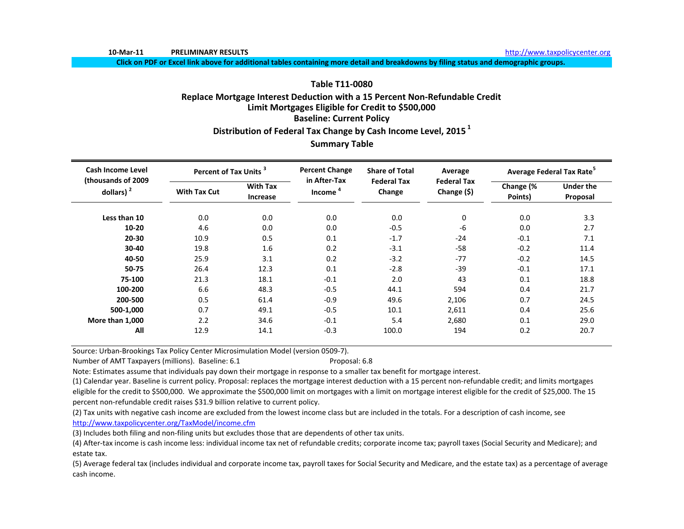**10‐Mar‐11 PRELIMINARY**

http://www.taxpolicycenter.org

Click on PDF or Excel link above for additional tables containing more detail and breakdowns by filing status and demographic groups.

# **Table T11‐0080Replace Mortgage Interest Deduction with <sup>a</sup> 15 Percent Non‐Refundable Credit Limit Mortgages Eligible for Credit to \$500,000 Baseline: Current Policy Distribution of Federal Tax Change by Cash Income Level, <sup>2015</sup> <sup>1</sup>**

# **Summary Table**

| <b>Cash Income Level</b><br>(thousands of 2009) | Percent of Tax Units <sup>3</sup> |                             | <b>Percent Change</b><br>in After-Tax | <b>Share of Total</b>        | Average                           |                      | Average Federal Tax Rate <sup>5</sup> |
|-------------------------------------------------|-----------------------------------|-----------------------------|---------------------------------------|------------------------------|-----------------------------------|----------------------|---------------------------------------|
| dollars) $2$                                    | <b>With Tax Cut</b>               | <b>With Tax</b><br>Increase | Income <sup>4</sup>                   | <b>Federal Tax</b><br>Change | <b>Federal Tax</b><br>Change (\$) | Change (%<br>Points) | <b>Under the</b><br>Proposal          |
| Less than 10                                    | 0.0                               | 0.0                         | 0.0                                   | 0.0                          | 0                                 | 0.0                  | 3.3                                   |
| $10 - 20$                                       | 4.6                               | 0.0                         | 0.0                                   | $-0.5$                       | $-6$                              | 0.0                  | 2.7                                   |
| 20-30                                           | 10.9                              | 0.5                         | 0.1                                   | $-1.7$                       | $-24$                             | $-0.1$               | 7.1                                   |
| 30-40                                           | 19.8                              | 1.6                         | 0.2                                   | $-3.1$                       | $-58$                             | $-0.2$               | 11.4                                  |
| 40-50                                           | 25.9                              | 3.1                         | 0.2                                   | $-3.2$                       | $-77$                             | $-0.2$               | 14.5                                  |
| 50-75                                           | 26.4                              | 12.3                        | 0.1                                   | $-2.8$                       | $-39$                             | $-0.1$               | 17.1                                  |
| 75-100                                          | 21.3                              | 18.1                        | $-0.1$                                | 2.0                          | 43                                | 0.1                  | 18.8                                  |
| 100-200                                         | 6.6                               | 48.3                        | $-0.5$                                | 44.1                         | 594                               | 0.4                  | 21.7                                  |
| 200-500                                         | 0.5                               | 61.4                        | $-0.9$                                | 49.6                         | 2,106                             | 0.7                  | 24.5                                  |
| 500-1,000                                       | 0.7                               | 49.1                        | $-0.5$                                | 10.1                         | 2,611                             | 0.4                  | 25.6                                  |
| More than 1,000                                 | 2.2                               | 34.6                        | $-0.1$                                | 5.4                          | 2,680                             | 0.1                  | 29.0                                  |
| All                                             | 12.9                              | 14.1                        | $-0.3$                                | 100.0                        | 194                               | 0.2                  | 20.7                                  |

Source: Urban‐Brookings Tax Policy Center Microsimulation Model (version 0509‐7).

Number of AMT Taxpayers (millions). Baseline: 6.1 **Proposal: 6.8** Proposal: 6.8

Note: Estimates assume that individuals pay down their mortgage in response to <sup>a</sup> smaller tax benefit for mortgage interest.

(1) Calendar year. Baseline is current policy. Proposal: replaces the mortgage interest deduction with <sup>a</sup> 15 percent non‐refundable credit; and limits mortgages eligible for the credit to \$500,000. We approximate the \$500,000 limit on mortgages with a limit on mortgage interest eligible for the credit of \$25,000. The 15 percent non‐refundable credit raises \$31.9 billion relative to current policy.

(2) Tax units with negative cash income are excluded from the lowest income class but are included in the totals. For <sup>a</sup> description of cash income, see http://www.taxpolicycenter.org/TaxModel/income.cfm

(3) Includes both filing and non‐filing units but excludes those that are dependents of other tax units.

(4) After-tax income is cash income less: individual income tax net of refundable credits; corporate income tax; payroll taxes (Social Security and Medicare); and estate tax.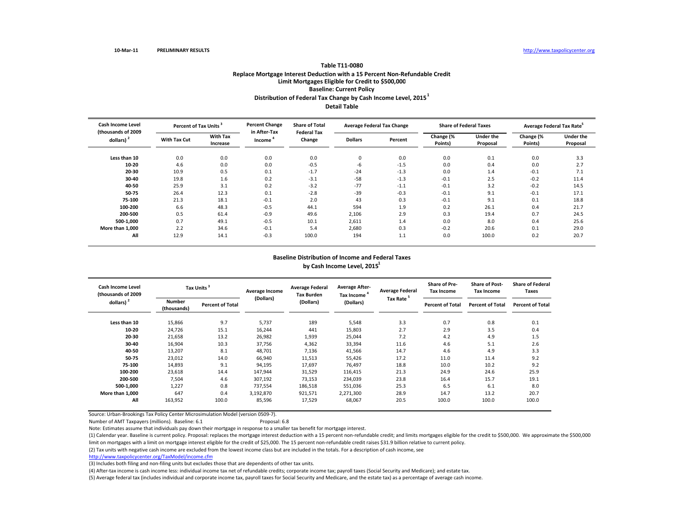# **Table T11‐0080Replace Mortgage Interest Deduction with <sup>a</sup> 15 Percent Non‐Refundable Credit Limit Mortgages Eligible for Credit to \$500,000 Baseline: Current Policy Distribution of Federal Tax Change by Cash Income Level, <sup>2015</sup><sup>1</sup>**

**Detail Table**

| <b>Cash Income Level</b><br>(thousands of 2009 | Percent of Tax Units <sup>3</sup> |                             | <b>Percent Change</b><br>in After-Tax | <b>Share of Total</b>        |                | <b>Average Federal Tax Change</b> |                      | <b>Share of Federal Taxes</b> | Average Federal Tax Rate <sup>5</sup> |                              |
|------------------------------------------------|-----------------------------------|-----------------------------|---------------------------------------|------------------------------|----------------|-----------------------------------|----------------------|-------------------------------|---------------------------------------|------------------------------|
| dollars) $2$                                   | <b>With Tax Cut</b>               | <b>With Tax</b><br>Increase | Income                                | <b>Federal Tax</b><br>Change | <b>Dollars</b> | Percent                           | Change (%<br>Points) | <b>Under the</b><br>Proposal  | Change (%<br>Points)                  | <b>Under the</b><br>Proposal |
| Less than 10                                   | 0.0                               | 0.0                         | 0.0                                   | 0.0                          | 0              | 0.0                               | 0.0                  | 0.1                           | 0.0                                   | 3.3                          |
| 10-20                                          | 4.6                               | 0.0                         | 0.0                                   | $-0.5$                       | -6             | $-1.5$                            | 0.0                  | 0.4                           | 0.0                                   | 2.7                          |
| 20-30                                          | 10.9                              | 0.5                         | 0.1                                   | $-1.7$                       | $-24$          | $-1.3$                            | 0.0                  | 1.4                           | $-0.1$                                | 7.1                          |
| 30-40                                          | 19.8                              | 1.6                         | 0.2                                   | $-3.1$                       | $-58$          | $-1.3$                            | $-0.1$               | 2.5                           | $-0.2$                                | 11.4                         |
| 40-50                                          | 25.9                              | 3.1                         | 0.2                                   | $-3.2$                       | $-77$          | $-1.1$                            | $-0.1$               | 3.2                           | $-0.2$                                | 14.5                         |
| 50-75                                          | 26.4                              | 12.3                        | 0.1                                   | $-2.8$                       | $-39$          | $-0.3$                            | $-0.1$               | 9.1                           | $-0.1$                                | 17.1                         |
| 75-100                                         | 21.3                              | 18.1                        | $-0.1$                                | 2.0                          | 43             | 0.3                               | $-0.1$               | 9.1                           | 0.1                                   | 18.8                         |
| 100-200                                        | 6.6                               | 48.3                        | $-0.5$                                | 44.1                         | 594            | 1.9                               | 0.2                  | 26.1                          | 0.4                                   | 21.7                         |
| 200-500                                        | 0.5                               | 61.4                        | $-0.9$                                | 49.6                         | 2,106          | 2.9                               | 0.3                  | 19.4                          | 0.7                                   | 24.5                         |
| 500-1,000                                      | 0.7                               | 49.1                        | $-0.5$                                | 10.1                         | 2,611          | 1.4                               | 0.0                  | 8.0                           | 0.4                                   | 25.6                         |
| More than 1,000                                | 2.2                               | 34.6                        | $-0.1$                                | 5.4                          | 2,680          | 0.3                               | $-0.2$               | 20.6                          | 0.1                                   | 29.0                         |
| All                                            | 12.9                              | 14.1                        | $-0.3$                                | 100.0                        | 194            | 1.1                               | 0.0                  | 100.0                         | 0.2                                   | 20.7                         |

#### **Baseline Distribution of Income and Federal Taxes by Cash Income Level, <sup>2015</sup><sup>1</sup>**

| Cash Income Level<br>(thousands of 2009<br>dollars) $2$ |                       | Tax Units <sup>3</sup>  | Average Income | <b>Average Federal</b><br><b>Tax Burden</b> | <b>Average After-</b><br>Tax Income <sup>4</sup> | <b>Average Federal</b> | <b>Share of Pre-</b><br><b>Tax Income</b> | <b>Share of Post-</b><br><b>Tax Income</b> | <b>Share of Federal</b><br>Taxes |  |
|---------------------------------------------------------|-----------------------|-------------------------|----------------|---------------------------------------------|--------------------------------------------------|------------------------|-------------------------------------------|--------------------------------------------|----------------------------------|--|
|                                                         | Number<br>(thousands) | <b>Percent of Total</b> | (Dollars)      | (Dollars)                                   | (Dollars)                                        | Tax Rate <sup>5</sup>  | <b>Percent of Total</b>                   | <b>Percent of Total</b>                    | <b>Percent of Total</b>          |  |
| Less than 10                                            | 15,866                | 9.7                     | 5,737          | 189                                         | 5,548                                            | 3.3                    | 0.7                                       | 0.8                                        | 0.1                              |  |
| 10-20                                                   | 24,726                | 15.1                    | 16,244         | 441                                         | 15,803                                           | 2.7                    | 2.9                                       | 3.5                                        | 0.4                              |  |
| 20-30                                                   | 21,658                | 13.2                    | 26,982         | 1,939                                       | 25,044                                           | 7.2                    | 4.2                                       | 4.9                                        | 1.5                              |  |
| 30-40                                                   | 16,904                | 10.3                    | 37,756         | 4,362                                       | 33,394                                           | 11.6                   | 4.6                                       | 5.1                                        | 2.6                              |  |
| 40-50                                                   | 13,207                | 8.1                     | 48,701         | 7,136                                       | 41,566                                           | 14.7                   | 4.6                                       | 4.9                                        | 3.3                              |  |
| 50-75                                                   | 23,012                | 14.0                    | 66,940         | 11,513                                      | 55,426                                           | 17.2                   | 11.0                                      | 11.4                                       | 9.2                              |  |
| 75-100                                                  | 14,893                | 9.1                     | 94,195         | 17,697                                      | 76,497                                           | 18.8                   | 10.0                                      | 10.2                                       | 9.2                              |  |
| 100-200                                                 | 23,618                | 14.4                    | 147,944        | 31,529                                      | 116,415                                          | 21.3                   | 24.9                                      | 24.6                                       | 25.9                             |  |
| 200-500                                                 | 7,504                 | 4.6                     | 307,192        | 73,153                                      | 234,039                                          | 23.8                   | 16.4                                      | 15.7                                       | 19.1                             |  |
| 500-1,000                                               | 1,227                 | 0.8                     | 737,554        | 186,518                                     | 551,036                                          | 25.3                   | 6.5                                       | 6.1                                        | 8.0                              |  |
| More than 1,000                                         | 647                   | 0.4                     | 3,192,870      | 921,571                                     | 2,271,300                                        | 28.9                   | 14.7                                      | 13.2                                       | 20.7                             |  |
| All                                                     | 163,952               | 100.0                   | 85,596         | 17,529                                      | 68,067                                           | 20.5                   | 100.0                                     | 100.0                                      | 100.0                            |  |

Source: Urban‐Brookings Tax Policy Center Microsimulation Model (version 0509‐7).

Number of AMT Taxpayers (millions). Baseline: 6.1 Proposal: 6.8

Note: Estimates assume that individuals pay down their mortgage in response to <sup>a</sup> smaller tax benefit for mortgage interest.

(1) Calendar year. Baseline is current policy. Proposal: replaces the mortgage interest deduction with <sup>a</sup> <sup>15</sup> percent non‐refundable credit; and limits mortgages eligible for the credit to \$500,000. We approximate the \$500,000

limit on mortgages with <sup>a</sup> limit on mortgage interest eligible for the credit of \$25,000. The <sup>15</sup> percent non‐refundable credit raises \$31.9 billion relative to current policy.

(2) Tax units with negative cash income are excluded from the lowest income class but are included in the totals. For <sup>a</sup> description of cash income, see

http://www.taxpolicycenter.org/TaxModel/income.cfm

(3) Includes both filing and non-filing units but excludes those that are dependents of other tax units.

(4) After‐tax income is cash income less: individual income tax net of refundable credits; corporate income tax; payroll taxes (Social Security and Medicare); and estate tax.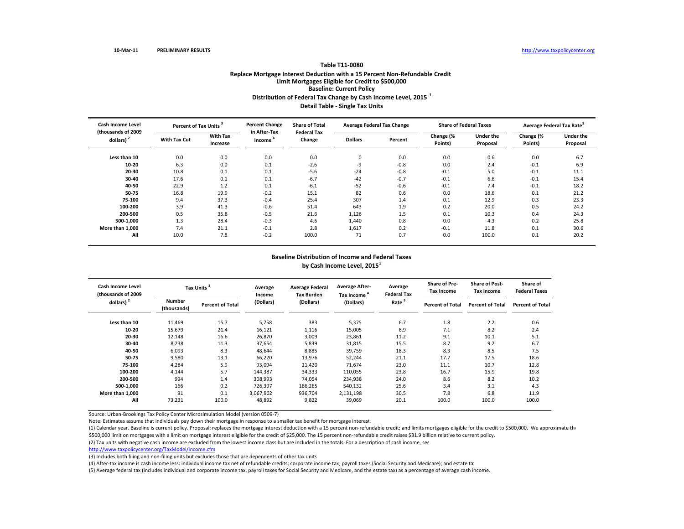## **Table T11‐0080Replace Mortgage Interest Deduction with <sup>a</sup> 15 Percent Non‐Refundable Credit Limit Mortgages Eligible for Credit to \$500,000 Baseline: Current Policy Distribution of Federal Tax Change by Cash Income Level, <sup>2015</sup> <sup>1</sup> Detail Table ‐ Single Tax Units**

| Cash Income Level<br>(thousands of 2009 | Percent of Tax Units <sup>3</sup> |                             | <b>Percent Change</b><br>in After-Tax | <b>Share of Total</b><br><b>Federal Tax</b> |                | <b>Average Federal Tax Change</b> |                      | <b>Share of Federal Taxes</b> | Average Federal Tax Rate <sup>5</sup> |                              |
|-----------------------------------------|-----------------------------------|-----------------------------|---------------------------------------|---------------------------------------------|----------------|-----------------------------------|----------------------|-------------------------------|---------------------------------------|------------------------------|
| dollars) <sup>2</sup>                   | <b>With Tax Cut</b>               | <b>With Tax</b><br>Increase | Income                                | Change                                      | <b>Dollars</b> | Percent                           | Change (%<br>Points) | <b>Under the</b><br>Proposal  | Change (%<br>Points)                  | <b>Under the</b><br>Proposal |
| Less than 10                            | 0.0                               | 0.0                         | 0.0                                   | 0.0                                         | 0              | 0.0                               | 0.0                  | 0.6                           | 0.0                                   | 6.7                          |
| 10-20                                   | 6.3                               | 0.0                         | 0.1                                   | $-2.6$                                      | -9             | $-0.8$                            | 0.0                  | 2.4                           | $-0.1$                                | 6.9                          |
| 20-30                                   | 10.8                              | 0.1                         | 0.1                                   | $-5.6$                                      | $-24$          | $-0.8$                            | $-0.1$               | 5.0                           | $-0.1$                                | 11.1                         |
| 30-40                                   | 17.6                              | 0.1                         | 0.1                                   | $-6.7$                                      | $-42$          | $-0.7$                            | $-0.1$               | 6.6                           | $-0.1$                                | 15.4                         |
| 40-50                                   | 22.9                              | 1.2                         | 0.1                                   | $-6.1$                                      | $-52$          | $-0.6$                            | $-0.1$               | 7.4                           | $-0.1$                                | 18.2                         |
| 50-75                                   | 16.8                              | 19.9                        | $-0.2$                                | 15.1                                        | 82             | 0.6                               | 0.0                  | 18.6                          | 0.1                                   | 21.2                         |
| 75-100                                  | 9.4                               | 37.3                        | $-0.4$                                | 25.4                                        | 307            | 1.4                               | 0.1                  | 12.9                          | 0.3                                   | 23.3                         |
| 100-200                                 | 3.9                               | 41.3                        | $-0.6$                                | 51.4                                        | 643            | 1.9                               | 0.2                  | 20.0                          | 0.5                                   | 24.2                         |
| 200-500                                 | 0.5                               | 35.8                        | $-0.5$                                | 21.6                                        | 1,126          | 1.5                               | 0.1                  | 10.3                          | 0.4                                   | 24.3                         |
| 500-1,000                               | 1.3                               | 28.4                        | $-0.3$                                | 4.6                                         | 1,440          | 0.8                               | 0.0                  | 4.3                           | 0.2                                   | 25.8                         |
| More than 1.000                         | 7.4                               | 21.1                        | $-0.1$                                | 2.8                                         | 1,617          | 0.2                               | $-0.1$               | 11.8                          | 0.1                                   | 30.6                         |
| All                                     | 10.0                              | 7.8                         | $-0.2$                                | 100.0                                       | 71             | 0.7                               | 0.0                  | 100.0                         | 0.1                                   | 20.2                         |

## **Baseline Distribution of Income and Federal Taxes by Cash Income Level, <sup>2015</sup><sup>1</sup>**

| <b>Cash Income Level</b><br>(thousands of 2009 |                              | Tax Units <sup>3</sup>  | Average<br>Income | <b>Average Federal</b><br><b>Tax Burden</b> | <b>Average After-</b><br>Tax Income | Average<br><b>Federal Tax</b> | <b>Share of Pre-</b><br><b>Tax Income</b> | <b>Share of Post-</b><br><b>Tax Income</b> | Share of<br><b>Federal Taxes</b> |
|------------------------------------------------|------------------------------|-------------------------|-------------------|---------------------------------------------|-------------------------------------|-------------------------------|-------------------------------------------|--------------------------------------------|----------------------------------|
| dollars) <sup>2</sup>                          | <b>Number</b><br>(thousands) | <b>Percent of Total</b> | (Dollars)         | (Dollars)                                   | (Dollars)                           | Rate <sup>5</sup>             | <b>Percent of Total</b>                   | <b>Percent of Total</b>                    | <b>Percent of Total</b>          |
| Less than 10                                   | 11,469                       | 15.7                    | 5,758             | 383                                         | 5,375                               | 6.7                           | 1.8                                       | 2.2                                        | 0.6                              |
| $10 - 20$                                      | 15,679                       | 21.4                    | 16,121            | 1,116                                       | 15,005                              | 6.9                           | 7.1                                       | 8.2                                        | 2.4                              |
| 20-30                                          | 12,148                       | 16.6                    | 26,870            | 3,009                                       | 23,861                              | 11.2                          | 9.1                                       | 10.1                                       | 5.1                              |
| 30-40                                          | 8,238                        | 11.3                    | 37,654            | 5,839                                       | 31,815                              | 15.5                          | 8.7                                       | 9.2                                        | 6.7                              |
| 40-50                                          | 6,093                        | 8.3                     | 48,644            | 8,885                                       | 39,759                              | 18.3                          | 8.3                                       | 8.5                                        | 7.5                              |
| 50-75                                          | 9,580                        | 13.1                    | 66,220            | 13,976                                      | 52,244                              | 21.1                          | 17.7                                      | 17.5                                       | 18.6                             |
| 75-100                                         | 4,284                        | 5.9                     | 93,094            | 21,420                                      | 71,674                              | 23.0                          | 11.1                                      | 10.7                                       | 12.8                             |
| 100-200                                        | 4,144                        | 5.7                     | 144,387           | 34,333                                      | 110,055                             | 23.8                          | 16.7                                      | 15.9                                       | 19.8                             |
| 200-500                                        | 994                          | 1.4                     | 308,993           | 74,054                                      | 234,938                             | 24.0                          | 8.6                                       | 8.2                                        | 10.2                             |
| 500-1,000                                      | 166                          | 0.2                     | 726,397           | 186,265                                     | 540,132                             | 25.6                          | 3.4                                       | 3.1                                        | 4.3                              |
| More than 1,000                                | 91                           | 0.1                     | 3,067,902         | 936,704                                     | 2,131,198                           | 30.5                          | 7.8                                       | 6.8                                        | 11.9                             |
| All                                            | 73,231                       | 100.0                   | 48,892            | 9,822                                       | 39,069                              | 20.1                          | 100.0                                     | 100.0                                      | 100.0                            |

Source: Urban‐Brookings Tax Policy Center Microsimulation Model (version 0509‐7)

Note: Estimates assume that individuals pay down their mortgage in response to <sup>a</sup> smaller tax benefit for mortgage interest

(1) Calendar year. Baseline is current policy. Proposal: replaces the mortgage interest deduction with a 15 percent non-refundable credit; and limits mortgages eligible for the credit to \$500,000. We approximate the \$500,000 limit on mortgages with a limit on mortgage interest eligible for the credit of \$25,000. The 15 percent non-refundable credit raises \$31.9 billion relative to current policy.

(2) Tax units with negative cash income are excluded from the lowest income class but are included in the totals. For <sup>a</sup> description of cash income, see

http://www.taxpolicycenter.org/TaxModel/income.cfm

(3) Includes both filing and non-filing units but excludes those that are dependents of other tax units

(4) After-tax income is cash income less: individual income tax net of refundable credits; corporate income tax; payroll taxes (Social Security and Medicare); and estate tax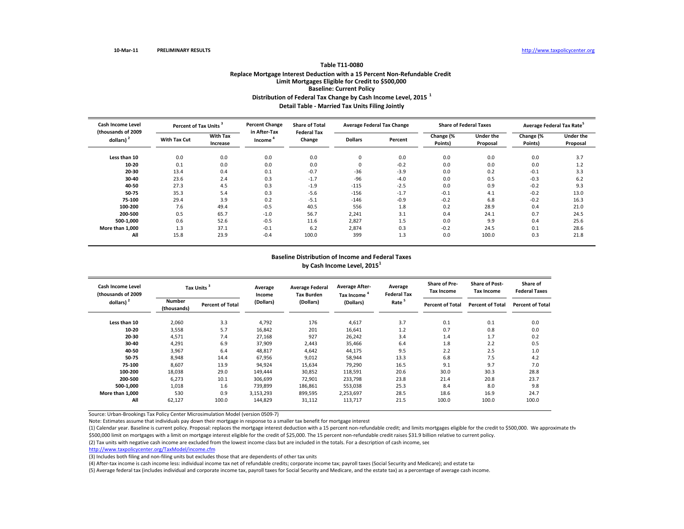## **Table T11‐0080Replace Mortgage Interest Deduction with <sup>a</sup> 15 Percent Non‐Refundable Credit Limit Mortgages Eligible for Credit to \$500,000 Baseline: Current Policy Distribution of Federal Tax Change by Cash Income Level, <sup>2015</sup> <sup>1</sup> Detail Table ‐ Married Tax Units Filing Jointly**

| <b>Cash Income Level</b><br>(thousands of 2009 | Percent of Tax Units <sup>3</sup> |                             | <b>Percent Change</b><br>in After-Tax | <b>Share of Total</b><br><b>Federal Tax</b> |                | <b>Average Federal Tax Change</b> |                      | <b>Share of Federal Taxes</b> |                      | Average Federal Tax Rate <sup>5</sup> |
|------------------------------------------------|-----------------------------------|-----------------------------|---------------------------------------|---------------------------------------------|----------------|-----------------------------------|----------------------|-------------------------------|----------------------|---------------------------------------|
| dollars)                                       | <b>With Tax Cut</b>               | <b>With Tax</b><br>Increase | Income                                | Change                                      | <b>Dollars</b> | Percent                           | Change (%<br>Points) | Under the<br>Proposal         | Change (%<br>Points) | Under the<br>Proposal                 |
| Less than 10                                   | 0.0                               | 0.0                         | 0.0                                   | 0.0                                         | 0              | 0.0                               | 0.0                  | 0.0                           | 0.0                  | 3.7                                   |
| 10-20                                          | 0.1                               | 0.0                         | 0.0                                   | 0.0                                         | 0              | $-0.2$                            | 0.0                  | 0.0                           | 0.0                  | 1.2                                   |
| 20-30                                          | 13.4                              | 0.4                         | 0.1                                   | $-0.7$                                      | $-36$          | $-3.9$                            | 0.0                  | 0.2                           | $-0.1$               | 3.3                                   |
| 30-40                                          | 23.6                              | 2.4                         | 0.3                                   | $-1.7$                                      | $-96$          | $-4.0$                            | 0.0                  | 0.5                           | $-0.3$               | 6.2                                   |
| 40-50                                          | 27.3                              | 4.5                         | 0.3                                   | $-1.9$                                      | $-115$         | $-2.5$                            | 0.0                  | 0.9                           | $-0.2$               | 9.3                                   |
| 50-75                                          | 35.3                              | 5.4                         | 0.3                                   | $-5.6$                                      | $-156$         | $-1.7$                            | $-0.1$               | 4.1                           | $-0.2$               | 13.0                                  |
| 75-100                                         | 29.4                              | 3.9                         | 0.2                                   | $-5.1$                                      | $-146$         | $-0.9$                            | $-0.2$               | 6.8                           | $-0.2$               | 16.3                                  |
| 100-200                                        | 7.6                               | 49.4                        | $-0.5$                                | 40.5                                        | 556            | 1.8                               | 0.2                  | 28.9                          | 0.4                  | 21.0                                  |
| 200-500                                        | 0.5                               | 65.7                        | $-1.0$                                | 56.7                                        | 2,241          | 3.1                               | 0.4                  | 24.1                          | 0.7                  | 24.5                                  |
| 500-1,000                                      | 0.6                               | 52.6                        | $-0.5$                                | 11.6                                        | 2,827          | 1.5                               | 0.0                  | 9.9                           | 0.4                  | 25.6                                  |
| More than 1,000                                | 1.3                               | 37.1                        | $-0.1$                                | 6.2                                         | 2,874          | 0.3                               | $-0.2$               | 24.5                          | 0.1                  | 28.6                                  |
| All                                            | 15.8                              | 23.9                        | $-0.4$                                | 100.0                                       | 399            | 1.3                               | 0.0                  | 100.0                         | 0.3                  | 21.8                                  |

## **Baseline Distribution of Income and Federal Taxes by Cash Income Level, <sup>2015</sup><sup>1</sup>**

| Cash Income Level<br>(thousands of 2009 |                              | Tax Units <sup>3</sup>  | Average<br>Income | <b>Average Federal</b><br><b>Tax Burden</b> | <b>Average After-</b><br>Tax Income | Average<br><b>Federal Tax</b> | <b>Share of Pre-</b><br><b>Tax Income</b> | <b>Share of Post-</b><br><b>Tax Income</b> | Share of<br><b>Federal Taxes</b> |
|-----------------------------------------|------------------------------|-------------------------|-------------------|---------------------------------------------|-------------------------------------|-------------------------------|-------------------------------------------|--------------------------------------------|----------------------------------|
| dollars) <sup>2</sup>                   | <b>Number</b><br>(thousands) | <b>Percent of Total</b> | (Dollars)         | (Dollars)                                   | (Dollars)                           | Rate <sup>5</sup>             | <b>Percent of Total</b>                   | <b>Percent of Total</b>                    | <b>Percent of Total</b>          |
| Less than 10                            | 2,060                        | 3.3                     | 4,792             | 176                                         | 4,617                               | 3.7                           | 0.1                                       | 0.1                                        | 0.0                              |
| $10 - 20$                               | 3,558                        | 5.7                     | 16,842            | 201                                         | 16,641                              | 1.2                           | 0.7                                       | 0.8                                        | 0.0                              |
| 20-30                                   | 4,571                        | 7.4                     | 27,168            | 927                                         | 26,242                              | 3.4                           | 1.4                                       | 1.7                                        | 0.2                              |
| 30-40                                   | 4,291                        | 6.9                     | 37,909            | 2,443                                       | 35,466                              | 6.4                           | 1.8                                       | 2.2                                        | 0.5                              |
| 40-50                                   | 3,967                        | 6.4                     | 48,817            | 4,642                                       | 44,175                              | 9.5                           | 2.2                                       | 2.5                                        | 1.0                              |
| 50-75                                   | 8,948                        | 14.4                    | 67,956            | 9,012                                       | 58,944                              | 13.3                          | 6.8                                       | 7.5                                        | 4.2                              |
| 75-100                                  | 8,607                        | 13.9                    | 94,924            | 15,634                                      | 79,290                              | 16.5                          | 9.1                                       | 9.7                                        | 7.0                              |
| 100-200                                 | 18,038                       | 29.0                    | 149,444           | 30,852                                      | 118,591                             | 20.6                          | 30.0                                      | 30.3                                       | 28.8                             |
| 200-500                                 | 6,273                        | 10.1                    | 306,699           | 72,901                                      | 233,798                             | 23.8                          | 21.4                                      | 20.8                                       | 23.7                             |
| 500-1,000                               | 1,018                        | 1.6                     | 739,899           | 186,861                                     | 553,038                             | 25.3                          | 8.4                                       | 8.0                                        | 9.8                              |
| More than 1.000                         | 530                          | 0.9                     | 3,153,293         | 899,595                                     | 2,253,697                           | 28.5                          | 18.6                                      | 16.9                                       | 24.7                             |
| All                                     | 62,127                       | 100.0                   | 144,829           | 31,112                                      | 113,717                             | 21.5                          | 100.0                                     | 100.0                                      | 100.0                            |

Source: Urban‐Brookings Tax Policy Center Microsimulation Model (version 0509‐7)

Note: Estimates assume that individuals pay down their mortgage in response to <sup>a</sup> smaller tax benefit for mortgage interest

(1) Calendar year. Baseline is current policy. Proposal: replaces the mortgage interest deduction with a 15 percent non-refundable credit; and limits mortgages eligible for the credit to \$500,000. We approximate the \$500,000 limit on mortgages with a limit on mortgage interest eligible for the credit of \$25,000. The 15 percent non-refundable credit raises \$31.9 billion relative to current policy.

(2) Tax units with negative cash income are excluded from the lowest income class but are included in the totals. For <sup>a</sup> description of cash income, see

http://www.taxpolicycenter.org/TaxModel/income.cfm

(3) Includes both filing and non‐filing units but excludes those that are dependents of other tax units

(4) After-tax income is cash income less: individual income tax net of refundable credits; corporate income tax; payroll taxes (Social Security and Medicare); and estate tax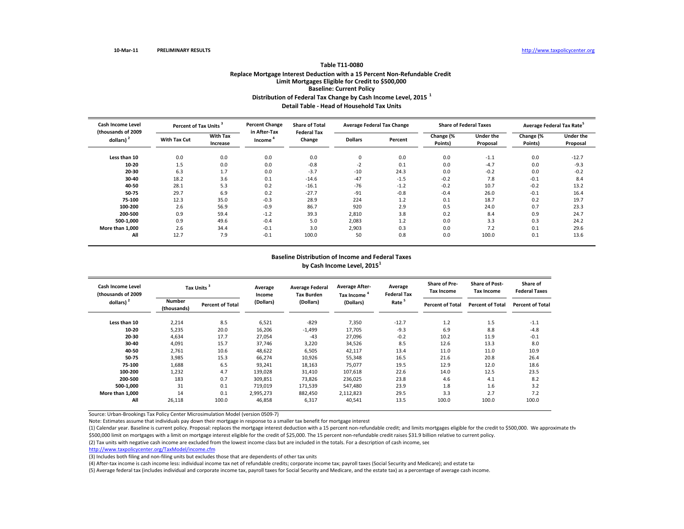#### **Table T11‐0080Replace Mortgage Interest Deduction with <sup>a</sup> 15 Percent Non‐Refundable Credit Limit Mortgages Eligible for Credit to \$500,000 Baseline: Current Policy Distribution of Federal Tax Change by Cash Income Level, <sup>2015</sup> <sup>1</sup> Detail Table ‐ Head of Household Tax Units**

| <b>Cash Income Level</b><br>(thousands of 2009 | Percent of Tax Units <sup>3</sup> |                             | <b>Percent Change</b><br>in After-Tax | <b>Share of Total</b><br><b>Federal Tax</b> |                | <b>Average Federal Tax Change</b> |                        | <b>Share of Federal Taxes</b> | Average Federal Tax Rate <sup>5</sup> |                       |
|------------------------------------------------|-----------------------------------|-----------------------------|---------------------------------------|---------------------------------------------|----------------|-----------------------------------|------------------------|-------------------------------|---------------------------------------|-----------------------|
| dollars) <sup>2</sup>                          | <b>With Tax Cut</b>               | <b>With Tax</b><br>Increase | Income <sup>'</sup>                   | Change                                      | <b>Dollars</b> | Percent                           | Change $(%$<br>Points) | Under the<br>Proposal         | Change (%<br>Points)                  | Under the<br>Proposal |
| Less than 10                                   | 0.0                               | 0.0                         | 0.0                                   | 0.0                                         | 0              | 0.0                               | 0.0                    | $-1.1$                        | 0.0                                   | $-12.7$               |
| 10-20                                          | 1.5                               | 0.0                         | 0.0                                   | $-0.8$                                      | $-2$           | 0.1                               | 0.0                    | $-4.7$                        | 0.0                                   | $-9.3$                |
| 20-30                                          | 6.3                               | 1.7                         | 0.0                                   | $-3.7$                                      | $-10$          | 24.3                              | 0.0                    | $-0.2$                        | 0.0                                   | $-0.2$                |
| 30-40                                          | 18.2                              | 3.6                         | 0.1                                   | $-14.6$                                     | $-47$          | $-1.5$                            | $-0.2$                 | 7.8                           | $-0.1$                                | 8.4                   |
| 40-50                                          | 28.1                              | 5.3                         | 0.2                                   | $-16.1$                                     | $-76$          | $-1.2$                            | $-0.2$                 | 10.7                          | $-0.2$                                | 13.2                  |
| 50-75                                          | 29.7                              | 6.9                         | 0.2                                   | $-27.7$                                     | $-91$          | $-0.8$                            | $-0.4$                 | 26.0                          | $-0.1$                                | 16.4                  |
| 75-100                                         | 12.3                              | 35.0                        | $-0.3$                                | 28.9                                        | 224            | 1.2                               | 0.1                    | 18.7                          | 0.2                                   | 19.7                  |
| 100-200                                        | 2.6                               | 56.9                        | $-0.9$                                | 86.7                                        | 920            | 2.9                               | 0.5                    | 24.0                          | 0.7                                   | 23.3                  |
| 200-500                                        | 0.9                               | 59.4                        | $-1.2$                                | 39.3                                        | 2,810          | 3.8                               | 0.2                    | 8.4                           | 0.9                                   | 24.7                  |
| 500-1.000                                      | 0.9                               | 49.6                        | $-0.4$                                | 5.0                                         | 2,083          | 1.2                               | 0.0                    | 3.3                           | 0.3                                   | 24.2                  |
| More than 1.000                                | 2.6                               | 34.4                        | $-0.1$                                | 3.0                                         | 2,903          | 0.3                               | 0.0                    | 7.2                           | 0.1                                   | 29.6                  |
| All                                            | 12.7                              | 7.9                         | $-0.1$                                | 100.0                                       | 50             | 0.8                               | 0.0                    | 100.0                         | 0.1                                   | 13.6                  |

## **Baseline Distribution of Income and Federal Taxes by Cash Income Level, <sup>2015</sup><sup>1</sup>**

| Cash Income Level<br>(thousands of 2009 |                       | Tax Units <sup>3</sup>  |           | <b>Average Federal</b><br><b>Tax Burden</b> | <b>Average After-</b><br><b>Tax Income</b> | Average<br><b>Federal Tax</b> | <b>Share of Pre-</b><br><b>Tax Income</b> | <b>Share of Post-</b><br><b>Tax Income</b> | Share of<br><b>Federal Taxes</b> |
|-----------------------------------------|-----------------------|-------------------------|-----------|---------------------------------------------|--------------------------------------------|-------------------------------|-------------------------------------------|--------------------------------------------|----------------------------------|
| dollars) <sup>2</sup>                   | Number<br>(thousands) | <b>Percent of Total</b> | (Dollars) | (Dollars)                                   | (Dollars)                                  | Rate <sup>5</sup>             | <b>Percent of Total</b>                   | <b>Percent of Total</b>                    | <b>Percent of Total</b>          |
| Less than 10                            | 2,214                 | 8.5                     | 6,521     | $-829$                                      | 7,350                                      | $-12.7$                       | 1.2                                       | 1.5                                        | $-1.1$                           |
| 10-20                                   | 5,235                 | 20.0                    | 16,206    | $-1,499$                                    | 17,705                                     | $-9.3$                        | 6.9                                       | 8.8                                        | $-4.8$                           |
| 20-30                                   | 4,634                 | 17.7                    | 27,054    | $-43$                                       | 27,096                                     | $-0.2$                        | 10.2                                      | 11.9                                       | $-0.1$                           |
| 30-40                                   | 4,091                 | 15.7                    | 37,746    | 3,220                                       | 34,526                                     | 8.5                           | 12.6                                      | 13.3                                       | 8.0                              |
| 40-50                                   | 2,761                 | 10.6                    | 48,622    | 6,505                                       | 42,117                                     | 13.4                          | 11.0                                      | 11.0                                       | 10.9                             |
| 50-75                                   | 3,985                 | 15.3                    | 66,274    | 10,926                                      | 55,348                                     | 16.5                          | 21.6                                      | 20.8                                       | 26.4                             |
| 75-100                                  | 1,688                 | 6.5                     | 93,241    | 18,163                                      | 75,077                                     | 19.5                          | 12.9                                      | 12.0                                       | 18.6                             |
| 100-200                                 | 1,232                 | 4.7                     | 139,028   | 31,410                                      | 107,618                                    | 22.6                          | 14.0                                      | 12.5                                       | 23.5                             |
| 200-500                                 | 183                   | 0.7                     | 309,851   | 73,826                                      | 236,025                                    | 23.8                          | 4.6                                       | 4.1                                        | 8.2                              |
| 500-1,000                               | 31                    | 0.1                     | 719,019   | 171,539                                     | 547,480                                    | 23.9                          | 1.8                                       | 1.6                                        | 3.2                              |
| More than 1,000                         | 14                    | 0.1                     | 2,995,273 | 882,450                                     | 2,112,823                                  | 29.5                          | 3.3                                       | 2.7                                        | 7.2                              |
| All                                     | 26,118                | 100.0                   | 46,858    | 6,317                                       | 40,541                                     | 13.5                          | 100.0                                     | 100.0                                      | 100.0                            |

Source: Urban‐Brookings Tax Policy Center Microsimulation Model (version 0509‐7)

Note: Estimates assume that individuals pay down their mortgage in response to <sup>a</sup> smaller tax benefit for mortgage interest

(1) Calendar year. Baseline is current policy. Proposal: replaces the mortgage interest deduction with a 15 percent non-refundable credit; and limits mortgages eligible for the credit to \$500,000. We approximate the \$500,000 limit on mortgages with a limit on mortgage interest eligible for the credit of \$25,000. The 15 percent non-refundable credit raises \$31.9 billion relative to current policy.

(2) Tax units with negative cash income are excluded from the lowest income class but are included in the totals. For <sup>a</sup> description of cash income, see

http://www.taxpolicycenter.org/TaxModel/income.cfm

(3) Includes both filing and non‐filing units but excludes those that are dependents of other tax units

(4) After-tax income is cash income less: individual income tax net of refundable credits; corporate income tax; payroll taxes (Social Security and Medicare); and estate tax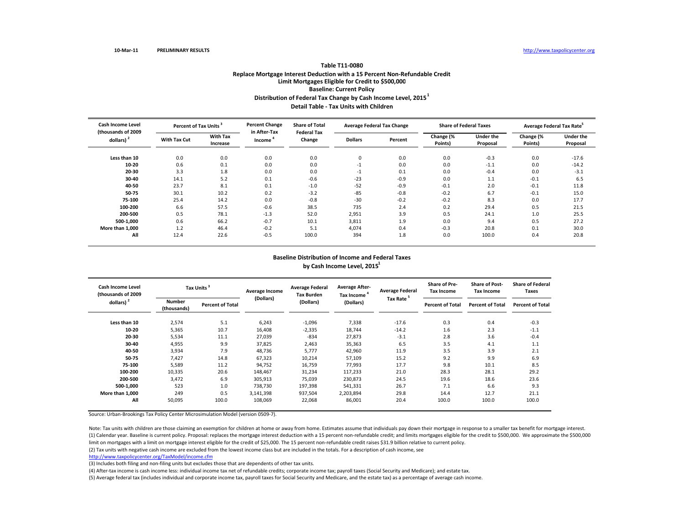#### **Table T11‐0080Replace Mortgage Interest Deduction with <sup>a</sup> 15 Percent Non‐Refundable Credit Limit Mortgages Eligible for Credit to \$500,000 Baseline: Current Policy Distribution of Federal Tax Change by Cash Income Level, <sup>2015</sup><sup>1</sup> Detail Table ‐ Tax Units with Children**

| <b>Cash Income Level</b>       | Percent of Tax Units <sup>3</sup> |                             | <b>Percent Change</b>               | <b>Share of Total</b>        |                | <b>Average Federal Tax Change</b> |                      | <b>Share of Federal Taxes</b> | Average Federal Tax Rate <sup>5</sup> |                       |
|--------------------------------|-----------------------------------|-----------------------------|-------------------------------------|------------------------------|----------------|-----------------------------------|----------------------|-------------------------------|---------------------------------------|-----------------------|
| (thousands of 2009<br>dollars) | <b>With Tax Cut</b>               | <b>With Tax</b><br>Increase | in After-Tax<br>Income <sup>'</sup> | <b>Federal Tax</b><br>Change | <b>Dollars</b> | Percent                           | Change (%<br>Points) | <b>Under the</b><br>Proposal  | Change (%<br>Points)                  | Under the<br>Proposal |
| Less than 10                   | 0.0                               | 0.0                         | 0.0                                 | 0.0                          | 0              | 0.0                               | 0.0                  | $-0.3$                        | 0.0                                   | $-17.6$               |
| 10-20                          | 0.6                               | 0.1                         | 0.0                                 | 0.0                          | $-1$           | 0.0                               | 0.0                  | $-1.1$                        | 0.0                                   | $-14.2$               |
| 20-30                          | 3.3                               | 1.8                         | 0.0                                 | 0.0                          | $-1$           | 0.1                               | 0.0                  | $-0.4$                        | 0.0                                   | $-3.1$                |
| 30-40                          | 14.1                              | 5.2                         | 0.1                                 | $-0.6$                       | $-23$          | $-0.9$                            | 0.0                  | 1.1                           | $-0.1$                                | 6.5                   |
| 40-50                          | 23.7                              | 8.1                         | 0.1                                 | $-1.0$                       | $-52$          | $-0.9$                            | $-0.1$               | 2.0                           | $-0.1$                                | 11.8                  |
| 50-75                          | 30.1                              | 10.2                        | 0.2                                 | $-3.2$                       | $-85$          | $-0.8$                            | $-0.2$               | 6.7                           | $-0.1$                                | 15.0                  |
| 75-100                         | 25.4                              | 14.2                        | 0.0                                 | $-0.8$                       | $-30$          | $-0.2$                            | $-0.2$               | 8.3                           | 0.0                                   | 17.7                  |
| 100-200                        | 6.6                               | 57.5                        | $-0.6$                              | 38.5                         | 735            | 2.4                               | 0.2                  | 29.4                          | 0.5                                   | 21.5                  |
| 200-500                        | 0.5                               | 78.1                        | $-1.3$                              | 52.0                         | 2,951          | 3.9                               | 0.5                  | 24.1                          | 1.0                                   | 25.5                  |
| 500-1.000                      | 0.6                               | 66.2                        | $-0.7$                              | 10.1                         | 3,811          | 1.9                               | 0.0                  | 9.4                           | 0.5                                   | 27.2                  |
| More than 1,000                | 1.2                               | 46.4                        | $-0.2$                              | 5.1                          | 4,074          | 0.4                               | $-0.3$               | 20.8                          | 0.1                                   | 30.0                  |
| All                            | 12.4                              | 22.6                        | $-0.5$                              | 100.0                        | 394            | 1.8                               | 0.0                  | 100.0                         | 0.4                                   | 20.8                  |

#### **Baseline Distribution of Income and Federal Taxes by Cash Income Level, <sup>2015</sup><sup>1</sup>**

| <b>Cash Income Level</b><br>(thousands of 2009<br>dollars) $2$ |                              | Tax Units <sup>3</sup>  | Average Income | <b>Average Federal</b><br><b>Tax Burden</b> | <b>Average After-</b><br>Tax Income <sup>4</sup> | <b>Average Federal</b> | <b>Share of Pre-</b><br><b>Tax Income</b> | <b>Share of Post-</b><br><b>Tax Income</b> | <b>Share of Federal</b><br>Taxes |  |
|----------------------------------------------------------------|------------------------------|-------------------------|----------------|---------------------------------------------|--------------------------------------------------|------------------------|-------------------------------------------|--------------------------------------------|----------------------------------|--|
|                                                                | <b>Number</b><br>(thousands) | <b>Percent of Total</b> | (Dollars)      | (Dollars)                                   | (Dollars)                                        | Tax Rate <sup>5</sup>  | <b>Percent of Total</b>                   | <b>Percent of Total</b>                    | <b>Percent of Total</b>          |  |
| Less than 10                                                   | 2,574                        | 5.1                     | 6,243          | $-1,096$                                    | 7,338                                            | $-17.6$                | 0.3                                       | 0.4                                        | $-0.3$                           |  |
| 10-20                                                          | 5,365                        | 10.7                    | 16,408         | $-2,335$                                    | 18,744                                           | $-14.2$                | 1.6                                       | 2.3                                        | $-1.1$                           |  |
| 20-30                                                          | 5,534                        | 11.1                    | 27,039         | $-834$                                      | 27,873                                           | $-3.1$                 | 2.8                                       | 3.6                                        | $-0.4$                           |  |
| 30-40                                                          | 4,955                        | 9.9                     | 37,825         | 2,463                                       | 35,363                                           | 6.5                    | 3.5                                       | 4.1                                        | 1.1                              |  |
| 40-50                                                          | 3,934                        | 7.9                     | 48,736         | 5,777                                       | 42,960                                           | 11.9                   | 3.5                                       | 3.9                                        | 2.1                              |  |
| 50-75                                                          | 7,427                        | 14.8                    | 67,323         | 10,214                                      | 57,109                                           | 15.2                   | 9.2                                       | 9.9                                        | 6.9                              |  |
| 75-100                                                         | 5,589                        | 11.2                    | 94,752         | 16,759                                      | 77,993                                           | 17.7                   | 9.8                                       | 10.1                                       | 8.5                              |  |
| 100-200                                                        | 10,335                       | 20.6                    | 148,467        | 31,234                                      | 117,233                                          | 21.0                   | 28.3                                      | 28.1                                       | 29.2                             |  |
| 200-500                                                        | 3,472                        | 6.9                     | 305,913        | 75,039                                      | 230,873                                          | 24.5                   | 19.6                                      | 18.6                                       | 23.6                             |  |
| 500-1,000                                                      | 523                          | 1.0                     | 738,730        | 197,398                                     | 541,331                                          | 26.7                   | 7.1                                       | 6.6                                        | 9.3                              |  |
| More than 1.000                                                | 249                          | 0.5                     | 3,141,398      | 937,504                                     | 2,203,894                                        | 29.8                   | 14.4                                      | 12.7                                       | 21.1                             |  |
| All                                                            | 50,095                       | 100.0                   | 108,069        | 22,068                                      | 86,001                                           | 20.4                   | 100.0                                     | 100.0                                      | 100.0                            |  |

Source: Urban‐Brookings Tax Policy Center Microsimulation Model (version 0509‐7).

(1) Calendar year. Baseline is current policy. Proposal: replaces the mortgage interest deduction with <sup>a</sup> <sup>15</sup> percent non‐refundable credit; and limits mortgages eligible for the credit to \$500,000. We approximate the \$500,000 limit on mortgages with <sup>a</sup> limit on mortgage interest eligible for the credit of \$25,000. The <sup>15</sup> percent non‐refundable credit raises \$31.9 billion relative to current policy. Note: Tax units with children are those claiming an exemption for children at home or away from home. Estimates assume that individuals pay down their mortgage in response to <sup>a</sup> smaller tax benefit for mortgage interest.

(2) Tax units with negative cash income are excluded from the lowest income class but are included in the totals. For <sup>a</sup> description of cash income, see

http://www.taxpolicycenter.org/TaxModel/income.cfm

(3) Includes both filing and non-filing units but excludes those that are dependents of other tax units.

(4) After‐tax income is cash income less: individual income tax net of refundable credits; corporate income tax; payroll taxes (Social Security and Medicare); and estate tax.